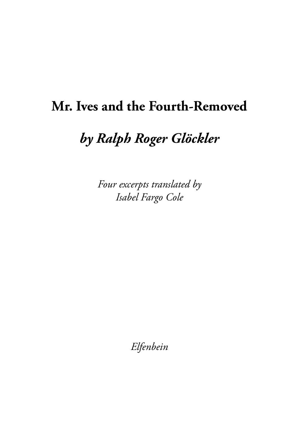# **Mr. Ives and the Fourth-Removed**

# *by Ralph Roger Glöckler*

*Four excerpts translated by Isabel Fargo Cole*

*Elfenbein*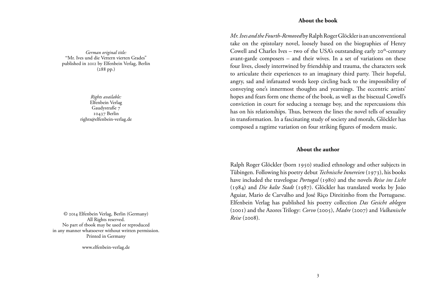#### **About the book**

*Mr. Ives and the Fourth-Removed* by Ralph Roger Glöckler is an unconventional take on the epistolary novel, loosely based on the biographies of Henry Cowell and Charles Ives – two of the USA's outstanding early  $20^{th}$ -century avant-garde composers – and their wives. In a set of variations on these four lives, closely intertwined by friendship and trauma, the characters seek to articulate their experiences to an imaginary third party. Their hopeful, angry, sad and infatuated words keep circling back to the impossibility of conveying one's innermost thoughts and yearnings. The eccentric artists' hopes and fears form one theme of the book, as well as the bisexual Cowell's conviction in court for seducing a teenage boy, and the repercussions this has on his relationships. Thus, between the lines the novel tells of sexuality in transformation. In a fascinating study of society and morals, Glöckler has composed a ragtime variation on four striking figures of modern music.

#### **About the author**

Ralph Roger Glöckler (born 1950) studied ethnology and other subjects in Tübingen. Following his poetry debut *Technische Innereien* (1973), his books have included the travelogue *Portugal* (1980) and the novels *Reise ins Licht* (1984) and *Die kalte Stadt* (1987). Glöckler has translated works by João Aguiar, Mario de Carvalho and José Riço Direitinho from the Portuguese. Elfenbein Verlag has published his poetry collection *Das Gesicht ablegen* (2001) and the Azores Trilogy: *Corvo* (2005), *Madre* (2007) and *Vulkanische* 

*German original title:* "Mr. Ives und die Vettern vierten Grades" published in 2012 by Elfenbein Verlag, Berlin (288 pp.)

> *Rights available:* Elfenbein Verlag Gaudystraße 7 10437 Berlin rights@elfenbein-verlag.de

*Reise* (2008). © 4 Elfenbein Verlag, Berlin (Germany) All Rights reserved. No part of tbook may be used or reproduced in any manner whatsoever without written permission. Printed in Germany

www.elfenbein-verlag.de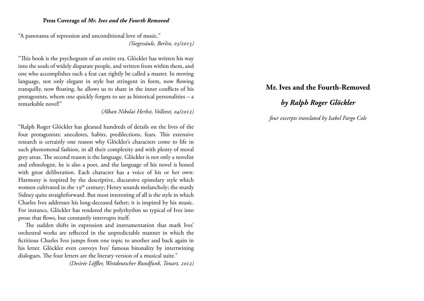#### **Press Coverage of** *Mr. Ives and the Fourth Removed*

"A panorama of repression and unconditional love of music." *(Siegessäule, Berlin, 03/2013)*

"This book is the psychogram of an entire era. Glöckler has written his way into the souls of widely disparate people, and written from within them, and one who accomplishes such a feat can rightly be called a master. In moving language, not only elegant in style but stringent in form, now flowing tranquilly, now floating, he allows us to share in the inner conflicts of his protagonists, whom one quickly forgets to see as historical personalities – a remarkable novel!"

*(Alban Nikolai Herbst, Volltext, 04/2012)*

"Ralph Roger Glöckler has gleaned hundreds of details on the lives of the four protagonists: anecdotes, habits, predilections, fears. This extensive research is certainly one reason why Glöckler's characters come to life in such phenomenal fashion, in all their complexity and with plenty of moral grey areas. The second reason is the language. Glöckler is not only a novelist and ethnologist, he is also a poet, and the language of his novel is honed with great deliberation. Each character has a voice of his or her own: Harmony is inspired by the descriptive, discursive epistolary style which women cultivated in the 19<sup>th</sup> century; Henry sounds melancholy; the sturdy Sidney quite straightforward. But most interesting of all is the style in which Charles Ives addresses his long-deceased father; it is inspired by his music. For instance, Glöckler has rendered the polyrhythm so typical of Ives into prose that flows, but constantly interrupts itself.

The sudden shifts in expression and instrumentation that mark Ives' orchestral works are reflected in the unpredictable manner in which the fictitious Charles Ives jumps from one topic to another and back again in his letter. Glöckler even conveys Ives' famous bitonality by intertwining dialogues. The four letters are the literary version of a musical suite."

*(Desirée Löffler, Westdeutscher Rundfunk, Tonart, 2012)*

## **Mr. Ives and the Fourth-Removed**

# *by Ralph Roger Glöckler*

*four excerpts translated by Isabel Fargo Cole*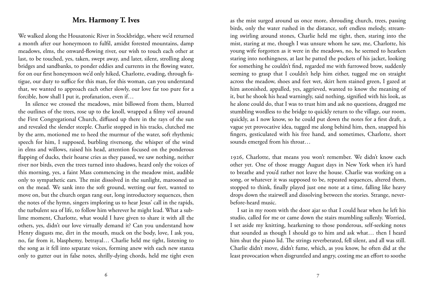### **Mrs. Harmony T. Ives**

We walked along the Housatonic River in Stockbridge, where we'd returned a month after our honeymoon to fulfil, amidst forested mountains, damp meadows, elms, the onward-flowing river, our wish to touch each other at last, to be touched, yes, taken, swept away, and later, silent, strolling along bridges and sandbanks, to ponder eddies and currents in the flowing water, for on our first honeymoon we'd only hiked, Charlotte, evading, through fatigue, our duty to suffice for this man, for this woman, can you understand that, we wanted to approach each other slowly, our love far too pure for a forcible, how shall I put it, profanation, even if…

In silence we crossed the meadows, mist billowed from them, blurred the outlines of the trees, rose up to the knoll, wrapped a filmy veil around the First Congregational Church, diffused up there in the rays of the sun and revealed the slender steeple. Charlie stopped in his tracks, clutched me by the arm, motioned me to heed the murmur of the water, soft rhythmic speech for him, I supposed, burbling riversong, the whisper of the wind in elms and willows, raised his head, attention focused on the ponderous flapping of ducks, their hoarse cries as they passed, we saw nothing, neither river nor birds, even the trees turned into shadows, heard only the voices of this morning, yes, a faint Mass commencing in the meadow mist, audible only to sympathetic ears. The mist dissolved in the sunlight, marooned us on the mead. We sank into the soft ground, wetting our feet, wanted to move on, but the church organ rang out, long introductory sequences, then the notes of the hymn, singers imploring us to hear Jesus' call in the rapids, the turbulent sea of life, to follow him wherever he might lead. What a sublime moment, Charlotte, what would I have given to share it with all the others, yes, didn't our love virtually demand it? Can you understand how Henry disgusts me, dirt in the mouth, muck on the body, love, I ask you, no, far from it, blasphemy, betrayal… Charlie held me tight, listening to the song as it fell into separate voices, forming anew with each new stanza only to gutter out in false notes, shrilly-dying chords, held me tight even

as the mist surged around us once more, shrouding church, trees, passing birds, only the water rushed in the distance, soft endless melody, streaming swirling around stones, Charlie held me tight, then, staring into the mist, staring at me, though I was unsure whom he saw, me, Charlotte, his young wife forgotten as it were in the meadows, no, he seemed to hearken staring into nothingness, at last he patted the pockets of his jacket, looking for something he couldn't find, regarded me with furrowed brow, suddenly seeming to grasp that I couldn't help him either, tugged me on straight across the meadow, shoes and feet wet, skirt hem stained green, I gazed at him astonished, appalled, yes, aggrieved, wanted to know the meaning of it, but he shook his head warningly, said nothing, signified with his look, as he alone could do, that I was to trust him and ask no questions, dragged me stumbling wordless to the bridge to quickly return to the village, our room, quickly, as I now know, so he could put down the notes for a first draft, a vague yet provocative idea, tugged me along behind him, then, snapped his fingers, gesticulated with his free hand, and sometimes, Charlotte, short sounds emerged from his throat…

1926, Charlotte, that means you won't remember. We didn't know each other yet. One of those muggy August days in New York when it's hard to breathe and you'd rather not leave the house. Charlie was working on a song, or whatever it was supposed to be, repeated sequences, altered them, stopped to think, finally played just one note at a time, falling like heavy drops down the stairwell and dissolving between the stories. Strange, neverbefore-heard music.

I sat in my room with the door ajar so that I could hear when he left his studio, called for me or came down the stairs mumbling sullenly. Worried, I set aside my knitting, hearkening to those ponderous, self-seeking notes that sounded as though I should go to him and ask what… then I heard him shut the piano lid. The strings reverberated, fell silent, and all was still. Charlie didn't move, didn't fume, which, as you know, he often did at the least provocation when disgruntled and angry, costing me an effort to soothe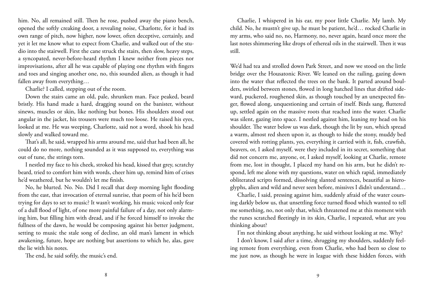him. No, all remained still. Then he rose, pushed away the piano bench, opened the softly creaking door, a revealing noise, Charlotte, for it had its own range of pitch, now higher, now lower, often deceptive, certainly, and yet it let me know what to expect from Charlie, and walked out of the studio into the stairwell. First the cane struck the stairs, then slow, heavy steps, a syncopated, never-before-heard rhythm I knew neither from pieces nor improvisations, after all he was capable of playing one rhythm with fingers and toes and singing another one, no, this sounded alien, as though it had fallen away from everything…

Charlie? I called, stepping out of the room.

Down the stairs came an old, pale, shrunken man. Face peaked, beard bristly. His hand made a hard, dragging sound on the banister, without sinews, muscles or skin, like nothing but bones. His shoulders stood out angular in the jacket, his trousers were much too loose. He raised his eyes, looked at me. He was weeping, Charlotte, said not a word, shook his head slowly and walked toward me.

That's all, he said, wrapped his arms around me, said that had been all, he could do no more, nothing sounded as it was supposed to, everything was out of tune, the strings torn.

I nestled my face to his cheek, stroked his head, kissed that grey, scratchy beard, tried to comfort him with words, cheer him up, remind him of crises he'd weathered, but he wouldn't let me finish.

No, he blurted. No. No. Did I recall that deep morning light flooding from the east, that invocation of eternal sunrise, that poem of his he'd been trying for days to set to music? It wasn't working, his music voiced only fear of a dull flood of light, of one more painful failure of a day, not only alarming him, but filling him with dread, and if he forced himself to invoke the fullness of the dawn, he would be composing against his better judgment, setting to music the stale song of decline, an old man's lament in which awakening, future, hope are nothing but assertions to which he, alas, gave the lie with his notes.

The end, he said softly, the music's end.

Charlie, I whispered in his ear, my poor little Charlie. My lamb. My child. No, he mustn't give up, he must be patient, he'd… rocked Charlie in my arms, who said no, no, Harmony, no, never again, heard once more the last notes shimmering like drops of ethereal oils in the stairwell. Then it was still.

We'd had tea and strolled down Park Street, and now we stood on the little bridge over the Housatonic River. We leaned on the railing, gazing down into the water that reflected the trees on the bank. It parted around boulders, swirled between stones, flowed in long hatched lines that drifted sideward, puckered, roughened skin, as though touched by an unexpected finger, flowed along, unquestioning and certain of itself. Birds sang, fluttered up, settled again on the massive roots that reached into the water. Charlie was silent, gazing into space. I nestled against him, leaning my head on his shoulder. The water below us was dark, though the lit by sun, which spread a warm, almost red sheen upon it, as though to hide the stony, muddy bed covered with rotting plants, yes, everything it carried with it, fish, crawfish, beavers, or, I asked myself, were they included in its secret, something that did not concern me, anyone, or, I asked myself, looking at Charlie, remote from me, lost in thought, I placed my hand on his arm, but he didn't respond, left me alone with my questions, water on which rapid, immediately obliterated scripts formed, dissolving slanted sentences, beautiful as hieroglyphs, alien and wild and never seen before, missives I didn't understand…

Charlie, I said, pressing against him, suddenly afraid of the water coursing darkly below us, that unsettling force turned flood which wanted to tell me something, no, not only that, which threatened me at this moment with the runes scratched fleetingly in its skin, Charlie, I repeated, what are you thinking about?

I'm not thinking about anything, he said without looking at me. Why?

I don't know, I said after a time, shrugging my shoulders, suddenly feeling remote from everything, even from Charlie, who had been so close to me just now, as though he were in league with these hidden forces, with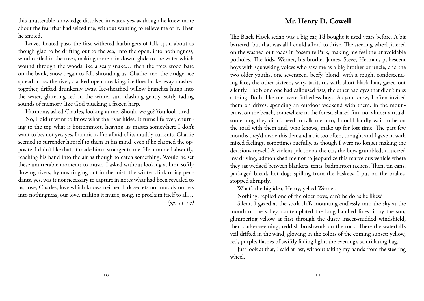this unutterable knowledge dissolved in water, yes, as though he knew more about the fear that had seized me, without wanting to relieve me of it. Then he smiled.

Leaves floated past, the first withered harbingers of fall, spun about as though glad to be drifting out to the sea, into the open, into nothingness, wind rustled in the trees, making more rain down, glide to the water which wound through the woods like a scaly snake… then the trees stood bare on the bank, snow began to fall, shrouding us, Charlie, me, the bridge, ice spread across the river, cracked open, creaking, ice floes broke away, crashed together, drifted drunkenly away. Ice-sheathed willow branches hung into the water, glittering red in the winter sun, clashing gently, softly fading sounds of memory, like God plucking a frozen harp.

Harmony, asked Charles, looking at me. Should we go? You look tired.

No, I didn't want to know what the river hides. It turns life over, churning to the top what is bottommost, heaving its masses somewhere I don't want to be, not yet, yes, I admit it, I'm afraid of its muddy currents. Charlie seemed to surrender himself to them in his mind, even if he claimed the opposite. I didn't like that, it made him a stranger to me. He hummed absently, reaching his hand into the air as though to catch something. Would he set these unutterable moments to music, I asked without looking at him, softly flowing rivers, hymns ringing out in the mist, the winter clink of icy pendants, yes, was it not necessary to capture in notes what had been revealed to us, love, Charles, love which knows neither dark secrets nor muddy outlets into nothingness, our love, making it music, song, to proclaim itself to all…

*(pp. 53–59)*

## **Mr. Henry D. Cowell**

The Black Hawk sedan was a big car, I'd bought it used years before. A bit battered, but that was all I could afford to drive. The steering wheel jittered on the washed-out roads in Yosemite Park, making me feel the unavoidable potholes. The kids, Werner, his brother James, Steve, Herman, pubescent boys with squawking voices who saw me as a big brother or uncle, and the two older youths, one seventeen, beefy, blond, with a rough, condescending face, the other sixteen, wiry, taciturn, with short black hair, gazed out silently. The blond one had calloused fists, the other had eyes that didn't miss a thing. Both, like me, were fatherless boys. As you know, I often invited them on drives, spending an outdoor weekend with them, in the mountains, on the beach, somewhere in the forest, shared fun, no, almost a ritual, something they didn't need to talk me into, I could hardly wait to be on the road with them and, who knows, make up for lost time. The past few months they'd made this demand a bit too often, though, and I gave in with mixed feelings, sometimes ruefully, as though I were no longer making the decisions myself. A violent jolt shook the car, the boys grumbled, criticized my driving, admonished me not to jeopardize this marvelous vehicle where they sat wedged between blankets, tents, badminton rackets. Then, tin cans, packaged bread, hot dogs spilling from the baskets, I put on the brakes, stopped abruptly.

What's the big idea, Henry, yelled Werner.

Nothing, replied one of the older boys, can't he do as he likes?

Silent, I gazed at the stark cliffs mounting endlessly into the sky at the mouth of the valley, contemplated the long hatched lines lit by the sun, glimmering yellow at first through the dusty insect-studded windshield, then darker-seeming, reddish brushwork on the rock. There the waterfall's veil drifted in the wind, glowing in the colors of the coming sunset: yellow, red, purple, flashes of swiftly fading light, the evening's scintillating flag.

Just look at that, I said at last, without taking my hands from the steering wheel.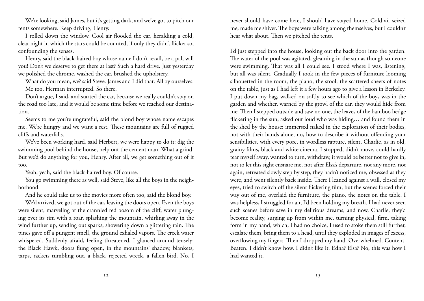We're looking, said James, but it's getting dark, and we've got to pitch our tents somewhere. Keep driving, Henry.

I rolled down the window. Cool air flooded the car, heralding a cold, clear night in which the stars could be counted, if only they didn't flicker so, confounding the senses.

Henry, said the black-haired boy whose name I don't recall, be a pal, will you! Don't we deserve to get there at last? Such a hard drive. Just yesterday we polished the chrome, washed the car, brushed the upholstery.

What do you mean, we? said Steve. James and I did that. All by ourselves. Me too, Herman interrupted. So there.

Don't argue, I said, and started the car, because we really couldn't stay on the road too late, and it would be some time before we reached our destination.

Seems to me you're ungrateful, said the blond boy whose name escapes me. We're hungry and we want a rest. These mountains are full of rugged cliffs and waterfalls.

We've been working hard, said Herbert, we were happy to do it: dig the swimming pool behind the house, help out the cement man. What a grind. But we'd do anything for you, Henry. After all, we get something out of it too.

Yeah, yeah, said the black-haired boy. Of course.

You go swimming there as well, said Steve, like all the boys in the neighborhood.

And he could take us to the movies more often too, said the blond boy.

We'd arrived, we got out of the car, leaving the doors open. Even the boys were silent, marveling at the crannied red bosom of the cliff, water plunging over its rim with a roar, splashing the mountain, whirling away in the wind further up, sending out sparks, showering down a glittering rain. The pines gave off a pungent smell, the ground exhaled vapors. The creek water whispered. Suddenly afraid, feeling threatened, I glanced around tensely: the Black Hawk, doors flung open, in the mountains' shadow, blankets, tarps, rackets tumbling out, a black, rejected wreck, a fallen bird. No, I

never should have come here, I should have stayed home. Cold air seized me, made me shiver. The boys were talking among themselves, but I couldn't hear what about. Then we pitched the tents.

I'd just stepped into the house, looking out the back door into the garden. The water of the pool was agitated, gleaming in the sun as though someone were swimming. That was all I could see. I stood where I was, listening, but all was silent. Gradually I took in the few pieces of furniture looming silhouetted in the room, the piano, the stool, the scattered sheets of notes on the table, just as I had left it a few hours ago to give a lesson in Berkeley. I put down my bag, walked on softly to see which of the boys was in the garden and whether, warned by the growl of the car, they would hide from me. Then I stepped outside and saw no one, the leaves of the bamboo hedge flickering in the sun, asked out loud who was hiding… and found them in the shed by the house: immersed naked in the exploration of their bodies, not with their hands alone, no, how to describe it without offending your sensibilities, with every pore, in wordless rapture, silent, Charlie, as in old, grainy films, black and white cinema. I stopped, didn't move, could hardly tear myself away, wanted to turn, withdraw, it would be better not to give in, not to let this sight ensnare me, not after Elsa's departure, not any more, not again, retreated slowly step by step, they hadn't noticed me, obsessed as they were, and went silently back inside. There I leaned against a wall, closed my eyes, tried to switch off the silent flickering film, but the scenes forced their way out of me, overlaid the furniture, the piano, the notes on the table. I was helpless, I struggled for air, I'd been holding my breath. I had never seen such scenes before save in my delirious dreams, and now, Charlie, they'd become reality, surging up from within me, turning physical, firm, taking form in my hand, which, I had no choice, I used to stoke them still further, escalate them, bring them to a head, until they exploded in images of excess, overflowing my fingers. Then I dropped my hand. Overwhelmed. Content. Beaten. I didn't know how. I didn't like it. Edna? Elsa? No, this was how I had wanted it.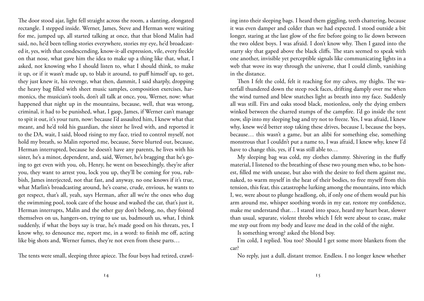The door stood ajar, light fell straight across the room, a slanting, elongated rectangle. I stepped inside. Werner, James, Steve and Herman were waiting for me, jumped up, all started talking at once, that that blond Malin had said, no, he'd been telling stories everywhere, stories my eye, he'd broadcasted it, yes, with that condescending, know-it-all expression, vile, every freckle on that nose, what gave him the idea to make up a thing like that, what, I asked, not knowing who I should listen to, what I should think, to make it up, or if it wasn't made up, to blab it around, to puff himself up, to get, they just knew it, his revenge, what then, dammit, I said sharply, dropping the heavy bag filled with sheet music samples, composition exercises, harmonics, the musician's tools, don't all talk at once, you, Werner, now: what happened that night up in the mountains, because, well, that was wrong, criminal, it had to be punished, what, I gasp, James, if Werner can't manage to spit it out, it's your turn, now: because I'd assaulted him, I knew what that meant, and he'd told his guardian, the sister he lived with, and reported it to the DA, wait, I said, blood rising to my face, tried to control myself, not hold my breath, so Malin reported me, because, Steve blurted out, because, Herman interrupted, because he doesn't have any parents, he lives with his sister, he's a minor, dependent, and, said, Werner, he's bragging that he's going to get even with you, oh, Henry, he went on beseechingly, they're after you, they want to arrest you, lock you up, they'll be coming for you, rubbish, James interjected, not that fast, and anyway, no one knows if it's true, what Marlin's broadcasting around, he's coarse, crude, envious, he wants to get respect, that's all, yeah, says Herman, after all we're the ones who dug the swimming pool, took care of the house and washed the car, that's just it, Herman interrupts, Malin and the other guy don't belong, no, they foisted themselves on us, hangers-on, trying to use us, badmouth us, what, I think suddenly, if what the boys say is true, he's made good on his threats, yes, I know why, to denounce me, report me, in a word: to finish me off, acting like big shots and, Werner fumes, they're not even from these parts…

The tents were small, sleeping three apiece. The four boys had retired, crawl-

ing into their sleeping bags. I heard them giggling, teeth chattering, because it was even damper and colder than we had expected. I stood outside a bit longer, staring at the last glow of the fire before going to lie down between the two oldest boys. I was afraid. I don't know why. Then I gazed into the starry sky that gaped above the black cliffs. The stars seemed to speak with one another, invisible yet perceptible signals like communicating lights in a web that wove its way through the universe, that I could climb, vanishing in the distance.

Then I felt the cold, felt it reaching for my calves, my thighs. The waterfall thundered down the steep rock faces, drifting damply over me when the wind turned and blew snatches light as breath into my face. Suddenly all was still. Firs and oaks stood black, motionless, only the dying embers winked between the charred stumps of the campfire. I'd go inside the tent now, slip into my sleeping bag and try not to freeze. Yes, I was afraid, I knew why, knew we'd better stop taking these drives, because I, because the boys, because… this wasn't a game, but an alibi for something else, something monstrous that I couldn't put a name to, I was afraid, I knew why, knew I'd have to change this, yes, if I was still able to…

My sleeping bag was cold, my clothes clammy. Shivering in the fluffy material, I listened to the breathing of these two young men who, to be honest, filled me with unease, but also with the desire to feel them against me, naked, to warm myself in the heat of their bodies, to free myself from this tension, this fear, this catastrophe lurking among the mountains, into which I, we, were about to plunge headlong, oh, if only one of them would put his arm around me, whisper soothing words in my ear, restore my confidence, make me understand that… I stared into space, heard my heart beat, slower than usual, separate, violent throbs which I felt were about to cease, make me step out from my body and leave me dead in the cold of the night.

Is something wrong? asked the blond boy.

I'm cold, I replied. You too? Should I get some more blankets from the car?

No reply, just a dull, distant tremor. Endless. I no longer knew whether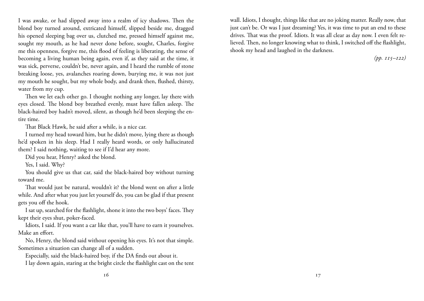I was awake, or had slipped away into a realm of icy shadows. Then the blond boy turned around, extricated himself, slipped beside me, dragged his opened sleeping bag over us, clutched me, pressed himself against me, sought my mouth, as he had never done before, sought, Charles, forgive me this openness, forgive me, this flood of feeling is liberating, the sense of becoming a living human being again, even if, as they said at the time, it was sick, perverse, couldn't be, never again, and I heard the rumble of stone breaking loose, yes, avalanches roaring down, burying me, it was not just my mouth he sought, but my whole body, and drank then, flushed, thirsty, water from my cup.

Then we let each other go. I thought nothing any longer, lay there with eyes closed. The blond boy breathed evenly, must have fallen asleep. The black-haired boy hadn't moved, silent, as though he'd been sleeping the entire time.

That Black Hawk, he said after a while, is a nice car.

I turned my head toward him, but he didn't move, lying there as though he'd spoken in his sleep. Had I really heard words, or only hallucinated them? I said nothing, waiting to see if I'd hear any more.

Did you hear, Henry? asked the blond.

Yes, I said. Why?

You should give us that car, said the black-haired boy without turning toward me.

That would just be natural, wouldn't it? the blond went on after a little while. And after what you just let yourself do, you can be glad if that present gets you off the hook.

I sat up, searched for the flashlight, shone it into the two boys' faces. They kept their eyes shut, poker-faced.

Idiots, I said. If you want a car like that, you'll have to earn it yourselves. Make an effort.

No, Henry, the blond said without opening his eyes. It's not that simple. Sometimes a situation can change all of a sudden.

Especially, said the black-haired boy, if the DA finds out about it.

I lay down again, staring at the bright circle the flashlight cast on the tent

wall. Idiots, I thought, things like that are no joking matter. Really now, that just can't be. Or was I just dreaming? Yes, it was time to put an end to these drives. That was the proof. Idiots. It was all clear as day now. I even felt relieved. Then, no longer knowing what to think, I switched off the flashlight, shook my head and laughed in the darkness.

*(pp. 115–122)*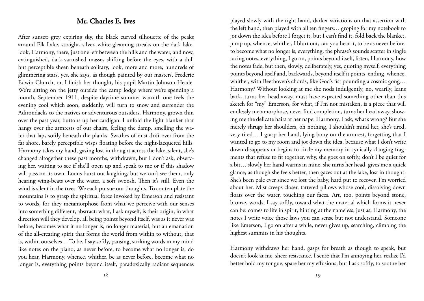## **Mr. Charles E. Ives**

After sunset: grey expiring sky, the black curved silhouette of the peaks around Elk Lake, straight, silver, white-gleaming streaks on the dark lake, look, Harmony, there, just one left between the hills and the water, and now, extinguished, dark-varnished masses shifting before the eyes, with a dull but perceptible sheen beneath solitary, look, more and more, hundreds of glimmering stars, yes, she says, as though painted by our masters, Frederic Edwin Church, or, I finish her thought, his pupil Martin Johnson Heade. We're sitting on the jetty outside the camp lodge where we're spending a month, September 1911, despite daytime summer warmth one feels the evening cool which soon, suddenly, will turn to snow and surrender the Adirondacks to the natives or adventurous outsiders. Harmony, grown thin over the past year, buttons up her cardigan. I unfold the light blanket that hangs over the armrests of our chairs, feeling the damp, smelling the water that laps softly beneath the planks. Swathes of mist drift over from the far shore, barely perceptible wisps floating before the night-lacquered hills. Harmony takes my hand, gazing lost in thought across the lake, silent, she's changed altogether these past months, withdrawn, but I don't ask, observing her, waiting to see if she'll open up and speak to me or if this shadow will pass on its own. Loons burst out laughing, but we can't see them, only hearing wing-beats over the water, a soft swoosh. Then it's still. Even the wind is silent in the trees. We each pursue our thoughts. To contemplate the mountains is to grasp the spiritual force invoked by Emerson and resistant to words, for they metamorphose from what we perceive with our senses into something different, abstract: what, I ask myself, is their origin, in what direction will they develop, all being points beyond itself, was as it never was before, becomes what it no longer is, no longer material, but an emanation of the all-creating spirit that forms the world from within to without, that is, within ourselves… To be, I say softly, pausing, striking words in my mind like notes on the piano, as never before, to become what no longer is, do you hear, Harmony, whence, whither, be as never before, become what no longer is, everything points beyond itself, paradoxically radiant sequences

played slowly with the right hand, darker variations on that assertion with the left hand, then played with all ten fingers… groping for my notebook to jot down the idea before I forget it, but I can't find it, fold back the blanket, jump up, whence, whither, I blurt out, can you hear it, to be as never before, to become what no longer is, everything, the phrase's sounds scatter in single racing notes, everything, I go on, points beyond itself, listen, Harmony, how the notes fade, but then, slowly, deliberately, yes, quoting myself, everything points beyond itself and, backwards, beyond itself it points, ending, whence, whither, with Beethoven's chords, like God's fist pounding a cosmic gong… Harmony? Without looking at me she nods indulgently, no, wearily, leans back, turns her head away, must have expected something other than this sketch for "my" Emerson, for what, if I'm not mistaken, is a piece that will endlessly metamorphose, never find completion, turns her head away, showing me the delicate hairs at her nape. Harmony, I ask, what's wrong? But she merely shrugs her shoulders, oh nothing, I shouldn't mind her, she's tired, very tired… I grasp her hand, lying bony on the armrest, forgetting that I wanted to go to my room and jot down the idea, because what I don't write down disappears or begins to circle my memory in cynically clanging fragments that refuse to fit together, why, she goes on softly, don't I be quiet for a bit… slowly her hand warms in mine, she turns her head, gives me a quick glance, as though she feels better, then gazes out at the lake, lost in thought. She's been pale ever since we lost the baby, hard put to recover. I'm worried about her. Mist creeps closer, tattered pillows whose cool, dissolving down floats over the water, touching our faces. Art, too, points beyond stone, bronze, words, I say softly, toward what the material which forms it never can be: comes to life in spirit, hinting at the nameless, just as, Harmony, the notes I write voice those laws you can sense but not understand. Someone like Emerson, I go on after a while, never gives up, searching, climbing the highest summits in his thoughts.

Harmony withdraws her hand, gasps for breath as though to speak, but doesn't look at me, sheer resistance. I sense that I'm annoying her, realize I'd better hold my tongue, spare her my effusions, but I ask softly, to soothe her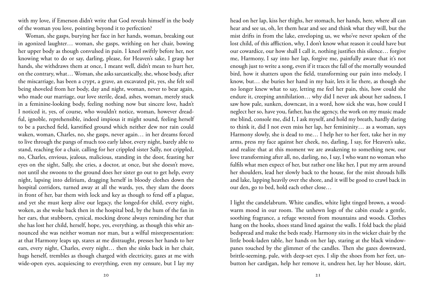with my love, if Emerson didn't write that God reveals himself in the body of the woman you love, pointing beyond it to perfection?

Woman, she gasps, burying her face in her hands, woman, breaking out in agonized laughter… woman, she gasps, writhing on her chair, bowing her upper body as though convulsed in pain. I kneel swiftly before her, not knowing what to do or say, darling, please, for Heaven's sake, I grasp her hands, she withdraws them at once, I meant well, didn't mean to hurt her, on the contrary, what… Woman, she asks sarcastically, she, whose body, after the miscarriage, has been a crypt, a grave, an excavated pit, yes, she felt soil being shoveled from her body, day and night, woman, never to bear again, who made our marriage, our love sterile, dead, ashes, woman, merely stuck in a feminine-looking body, feeling nothing now but sincere love, hadn't I noticed it, yes, of course, who wouldn't notice, woman, however dreadful, ignoble, reprehensible, indeed impious it might sound, feeling herself to be a parched field, karstified ground which neither dew nor rain could waken, woman, Charles, no, she gasps, never again… in her dreams forced to live through the pangs of much too early labor, every night, barely able to stand, reaching for a chair, calling for her crippled sister Sally, not crippled, no, Charles, envious, jealous, malicious, standing in the door, feasting her eyes on the sight, Sally, she cries, a doctor, at once, but she doesn't move, not until she swoons to the ground does her sister go out to get help, every night, lapsing into delirium, dragging herself in bloody clothes down the hospital corridors, turned away at all the wards, yes, they slam the doors in front of her, bar them with lock and key as though to fend off a plague, and yet she must keep alive our legacy, the longed-for child, every night, woken, as she woke back then in the hospital bed, by the hum of the fan in her ears, that stubborn, cynical, mocking drone always reminding her that she has lost her child, herself, hope, yes, everything, as though this whir announced she was neither woman nor man, but a wilful misrepresentation: at that Harmony leaps up, stares at me distraught, presses her hands to her ears, every night, Charles, every night… then she sinks back in her chair, hugs herself, trembles as though charged with electricity, gazes at me with wide-open eyes, acquiescing to everything, even my censure, but I lay my

head on her lap, kiss her thighs, her stomach, her hands, here, where all can hear and see us, oh, let them hear and see and think what they will, but the mist drifts in from the lake, enveloping us, we who've never spoken of the lost child, of this affliction, why, I don't know what reason it could have but our cowardice, our how shall I call it, nothing justifies this silence… forgive me, Harmony, I say into her lap, forgive me, painfully aware that it's not enough just to write a song, even if it traces the fall of the mortally wounded bird, how it shatters upon the field, transforming our pain into melody, I know, but… she buries her hand in my hair, lets it lie there, as though she no longer knew what to say, letting me feel her pain, this, how could she endure it, creeping annihilation… why did I never ask about her sadness, I saw how pale, sunken, downcast, in a word, how sick she was, how could I neglect her so, have you, father, has the agency, the work on my music made me blind, console me, did I, I ask myself, and hold my breath, hardly daring to think it, did I not even miss her lap, her femininity… as a woman, says Harmony slowly, she is dead to me… I help her to her feet, take her in my arms, press my face against her cheek, no, darling, I say, for Heaven's sake, and realize that at this moment we are awakening to something new, our love transforming after all, no, darling, no, I say, I who want no woman who fulfils what men expect of her, but rather one like her, I put my arm around her shoulders, lead her slowly back to the house, for the mist shrouds hills and lake, lapping heavily over the shore, and it will be good to crawl back in our den, go to bed, hold each other close…

I light the candelabrum. White candles, white light tinged brown, a woodwarm mood in our room. The unhewn logs of the cabin exude a gentle, soothing fragrance, a refuge wrested from mountains and woods. Clothes hang on the hooks, shoes stand lined against the walls. I fold back the plaid bedspread and make the beds ready. Harmony sits in the wicker chair by the little book-laden table, her hands on her lap, staring at the black windowpanes touched by the glimmer of the candles. Then she gazes downward, brittle-seeming, pale, with deep-set eyes. I slip the shoes from her feet, unbutton her cardigan, help her remove it, undress her, lay her blouse, skirt,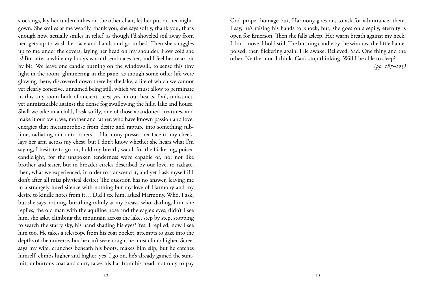stockings, lay her underclothes on the other chair, let her put on her nightgown. She smiles at me wearily, thank you, she says softly, thank you, that's enough now, actually smiles in relief, as though I'd shoveled soil away from her, gets up to wash her face and hands and go to bed. Then she snuggles up to me under the covers, laying her head on my shoulder. How cold she is! But after a while my body's warmth embraces her, and I feel her relax bit by bit. We leave one candle burning on the windowsill, to sense this tiny light in the room, glimmering in the pane, as though some other life were glowing there, discovered down there by the lake, a life of which we cannot yet clearly conceive, unnamed being still, which we must allow to germinate in this tiny room built of ancient trees, yes, in our hearts, frail, indistinct, yet unmistakable against the dense fog swallowing the hills, lake and house. Shall we take in a child, I ask softly, one of those abandoned creatures, and make it our own, we, mother and father, who have known passion and love, energies that metamorphose from desire and rapture into something sublime, radiating out onto others… Harmony presses her face to my cheek, lays her arm across my chest, but I don't know whether she hears what I'm saying, I hesitate to go on, hold my breath, watch for the flickering, poised candlelight, for the unspoken tenderness we're capable of, no, not like brother and sister, but in broader circles described by our love, to radiate, then, what we experienced, in order to transcend it, and yet I ask myself if I don't after all miss physical desire? The question has no answer, leaving me in a strangely hued silence with nothing but my love of Harmony and my desire to kindle notes from it… Did I see him, asked Harmony. Who, I ask, but she says nothing, breathing calmly at my breast, who, darling, him, she replies, the old man with the aquiline nose and the eagle's eyes, didn't I see him, she asks, climbing the mountain across the lake, step by step, stopping to search the starry sky, his hand shading his eyes? Yes, I replied, now I see him too. He takes a telescope from his coat pocket, attempts to gaze into the depths of the universe, but he can't see enough, he must climb higher. Scree, says my wife, crunches beneath his boots, makes him slip, but he catches himself, climbs higher and higher, yes, I go on, he's already gained the summit, unbuttons coat and shirt, takes his hat from his head, not only to pay

God proper homage but, Harmony goes on, to ask for admittance, there, I say, he's raising his hands to knock, but, she goes on sleepily, eternity is open for Emerson. Then she falls asleep. Her warm breath against my neck. I don't move. I hold still. The burning candle by the window, the little flame, poised, then flickering again. I lie awake. Relieved. Sad. One thing and the other. Neither nor. I think. Can't stop thinking. Will I be able to sleep?

*(pp. 187–193)*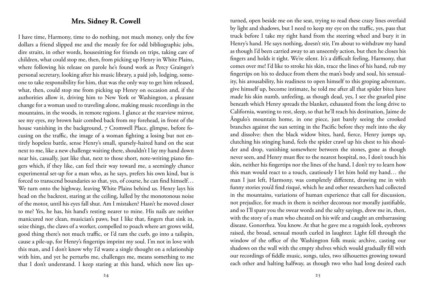### **Mrs. Sidney R. Cowell**

I have time, Harmony, time to do nothing, not much money, only the few dollars a friend slipped me and the measly fee for odd bibliographic jobs, dire straits, in other words, housesitting for friends on trips, taking care of children, what could stop me, then, from picking up Henry in White Plains, where following his release on parole he's found work as Percy Grainger's personal secretary, looking after his music library, a paid job, lodging, someone to take responsibility for him, that was the only way to get him released, what, then, could stop me from picking up Henry on occasion and, if the authorities allow it, driving him to New York or Washington, a pleasant change for a woman used to traveling alone, making music recordings in the mountains, in the woods, in remote regions. I glance at the rearview mirror, see my eyes, my brown hair combed back from my forehead, in front of the house vanishing in the background, 7 Cromwell Place, glimpse, before focusing on the traffic, the image of a woman fighting a losing but not entirely hopeless battle, sense Henry's small, sparsely-haired hand on the seat next to me, like a new challenge waiting there, shouldn't I lay my hand down near his, casually, just like that, next to those short, note-writing piano fingers which, if they like, can feel their way toward me, a seemingly chance experimental set-up for a man who, as he says, prefers his own kind, but is forced to transcend boundaries so that, yes, of course, he can find himself… We turn onto the highway, leaving White Plains behind us. Henry lays his head on the backrest, staring at the ceiling, lulled by the monotonous noise of the motor, until his eyes fall shut. Am I mistaken? Hasn't he moved closer to me? Yes, he has, his hand's resting nearer to mine. His nails are neither manicured nor clean, musician's paws, but I like that, fingers that sink in, seize things, the claws of a worker, compelled to poach where art grows wild, good thing there's not much traffic, or I'd ram the curb, go into a tailspin, cause a pile-up, for Henry's fingertips imprint my soul. I'm not in love with this man, and I don't know why I'd waste a single thought on a relationship with him, and yet he perturbs me, challenges me, means something to me that I don't understand. I keep staring at this hand, which now lies up-

our recordings of fiddle music, songs, tales, two silhouettes growing toward each other and halting halfway, as though two who had long desired each

turned, open beside me on the seat, trying to read these crazy lines overlaid by light and shadows, but I need to keep my eye on the traffic, yes, pass that truck before I take my right hand from the steering wheel and bury it in Henry's hand. He says nothing, doesn't stir, I'm about to withdraw my hand as though I'd been carried away to an unseemly action, but then he closes his fingers and holds it tight. We're silent. It's a difficult feeling, Harmony, that comes over me! I'd like to stroke his skin, trace the lines of his hand, rub my fingertips on his to deduce from them the man's body and soul, his sensuality, his arousability, his readiness to open himself to this groping adventure, give himself up, become intimate, he told me after all that spider bites have made his skin numb, unfeeling, as though dead, yes, I see the gnarled pine beneath which Henry spreads the blanket, exhausted from the long drive to California, wanting to rest, sleep, so that he'll reach his destination, Jaime de Ângulo's mountain home, in one piece, just barely seeing the crooked branches against the sun setting in the Pacific before they melt into the sky and dissolve: then the black widow bites, hard, fierce, Henry jumps up, clutching his stinging hand, feels the spider crawl up his chest to his shoulder and drop, vanishing somewhere between the stones, gone as though never seen, and Henry must flee to the nearest hospital, no, I don't touch his skin, neither his fingertips nor the lines of the hand, I don't try to learn how this man would react to a touch, cautiously I let him hold my hand… the man I just left, Harmony, was completely different, drawing me in with funny stories you'd find risqué, which he and other researchers had collected in the mountains, variations of human experience that call for discussion, not prejudice, for much in them is neither decorous nor morally justifiable, and so I'll spare you the swear words and the salty sayings, drew me in, then, with the story of a man who cheated on his wife and caught an embarrassing disease. Gonorrhea. You know. At that he gave me a roguish look, eyebrows raised, the broad, sensual mouth curled in laughter. Light fell through the window of the office of the Washington folk music archive, casting our shadows on the wall with the empty shelves which would gradually fill with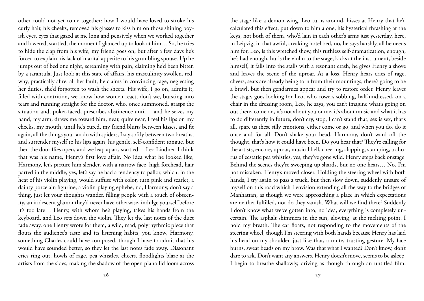other could not yet come together: how I would have loved to stroke his curly hair, his cheeks, removed his glasses to kiss him on those shining boyish eyes, eyes that gazed at me long and pensively when we worked together and lowered, startled, the moment I glanced up to look at him… So, he tries to hide the clap from his wife, my friend goes on, but after a few days he's forced to explain his lack of marital appetite to his grumbling spouse. Up he jumps out of bed one night, screaming with pain, claiming he'd been bitten by a tarantula. Just look at this state of affairs, his masculinity swollen, red, why, practically afire, all her fault, he claims in convincing rage, neglecting her duties, she'd forgotten to wash the sheets. His wife, I go on, admits it, filled with contrition, we know how women react, don't we, bursting into tears and running straight for the doctor, who, once summoned, grasps the situation and, poker-faced, prescribes abstinence until… and he seizes my hand, my arm, draws me toward him, near, quite near, I feel his lips on my cheeks, my mouth, until he's cured, my friend blurts between kisses, and fit again, all the things you can do with spiders, I say softly between two breaths, and surrender myself to his lips again, his gentle, self-confident tongue, but then the door flies open, and we leap apart, startled… Leo Lindner. I think that was his name, Henry's first love affair. No idea what he looked like, Harmony, let's picture him slender, with a narrow face, high forehead, hair parted in the middle, yes, let's say he had a tendency to pallor, which, in the heat of his violin playing, would suffuse with color, turn pink and scarlet, a dainty porcelain figurine, a violin-playing ephebe, no, Harmony, don't say a thing, just let your thoughts wander, filling people with a touch of obscenity, an iridescent glamor they'd never have otherwise, indulge yourself before it's too late… Henry, with whom he's playing, takes his hands from the keyboard, and Leo sets down the violin. They let the last notes of the duet fade away, one Henry wrote for them, a wild, mad, polyrhythmic piece that flouts the audience's taste and its listening habits, you know, Harmony, something Charles could have composed, though I have to admit that his would have sounded better, so they let the last notes fade away. Dissonant cries ring out, howls of rage, pea whistles, cheers, floodlights blaze at the artists from the sides, making the shadow of the open piano lid loom across

the stage like a demon wing. Leo turns around, hisses at Henry that he'd calculated this effect, put down to him alone, his hysterical thrashing at the keys, not both of them, who'd lain in each other's arms just yesterday, here, in Leipzig, in that awful, creaking hotel bed, no, he says harshly, all he needs him for, Leo, is this wretched show, this ruthless self-dramatization, enough, he's had enough, hurls the violin to the stage, kicks at the instrument, beside himself, it falls into the stalls with a resonant crash, he gives Henry a shove and leaves the scene of the uproar. At a loss, Henry hears cries of rage, cheers, seats are already being torn from their mountings, there's going to be a brawl, but then gendarmes appear and try to restore order. Henry leaves the stage, goes looking for Leo, who cowers sobbing, half-undressed, on a chair in the dressing room, Leo, he says, you can't imagine what's going on out there, come on, it's not about you or me, it's about music and what it has to do differently in future, don't cry, stop, I can't stand that, sex is sex, that's all, spare us these silly emotions, either come or go, and when you do, do it once and for all. Don't shake your head, Harmony, don't ward off the thought, that's how it could have been. Do you hear that? They're calling for the artists, encore, uproar, musical hell, cheering, clapping, stamping, a chorus of ecstatic pea whistles, yes, they've gone wild. Henry steps back onstage. Behind the scenes they're sweeping up shards, but no one hears… No, I'm not mistaken. Henry's moved closer. Holding the steering wheel with both hands, I try again to pass a truck, but then slow down, suddenly unsure of myself on this road which I envision extending all the way to the bridges of Manhattan, as though we were approaching a place in which expectations are neither fulfilled, nor do they vanish. What will we find there? Suddenly I don't know what we've gotten into, no idea, everything is completely uncertain. The asphalt shimmers in the sun, glowing, at the melting point. I hold my breath. The car floats, not responding to the movements of the steering wheel, though I'm steering with both hands because Henry has laid his head on my shoulder, just like that, a mute, trusting gesture. My face burns, sweat beads on my brow. Was that what I wanted? Don't know, don't dare to ask. Don't want any answers. Henry doesn't move, seems to be asleep. I begin to breathe shallowly, driving as though through an untitled film,